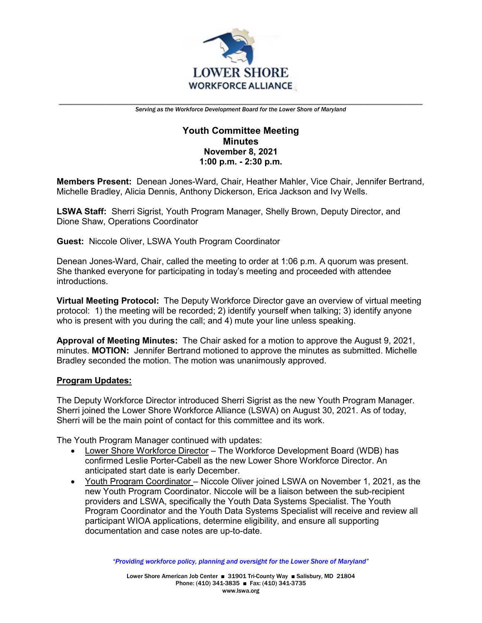

# **Youth Committee Meeting Minutes November 8, 2021 1:00 p.m. - 2:30 p.m.**

**Members Present:** Denean Jones-Ward, Chair, Heather Mahler, Vice Chair, Jennifer Bertrand, Michelle Bradley, Alicia Dennis, Anthony Dickerson, Erica Jackson and Ivy Wells.

**LSWA Staff:** Sherri Sigrist, Youth Program Manager, Shelly Brown, Deputy Director, and Dione Shaw, Operations Coordinator

**Guest:** Niccole Oliver, LSWA Youth Program Coordinator

Denean Jones-Ward, Chair, called the meeting to order at 1:06 p.m. A quorum was present. She thanked everyone for participating in today's meeting and proceeded with attendee introductions.

**Virtual Meeting Protocol:** The Deputy Workforce Director gave an overview of virtual meeting protocol: 1) the meeting will be recorded; 2) identify yourself when talking; 3) identify anyone who is present with you during the call; and 4) mute your line unless speaking.

**Approval of Meeting Minutes:** The Chair asked for a motion to approve the August 9, 2021, minutes. **MOTION:** Jennifer Bertrand motioned to approve the minutes as submitted. Michelle Bradley seconded the motion. The motion was unanimously approved.

## **Program Updates:**

The Deputy Workforce Director introduced Sherri Sigrist as the new Youth Program Manager. Sherri joined the Lower Shore Workforce Alliance (LSWA) on August 30, 2021. As of today, Sherri will be the main point of contact for this committee and its work.

The Youth Program Manager continued with updates:

- Lower Shore Workforce Director The Workforce Development Board (WDB) has confirmed Leslie Porter-Cabell as the new Lower Shore Workforce Director. An anticipated start date is early December.
- Youth Program Coordinator Niccole Oliver joined LSWA on November 1, 2021, as the new Youth Program Coordinator. Niccole will be a liaison between the sub-recipient providers and LSWA, specifically the Youth Data Systems Specialist. The Youth Program Coordinator and the Youth Data Systems Specialist will receive and review all participant WIOA applications, determine eligibility, and ensure all supporting documentation and case notes are up-to-date.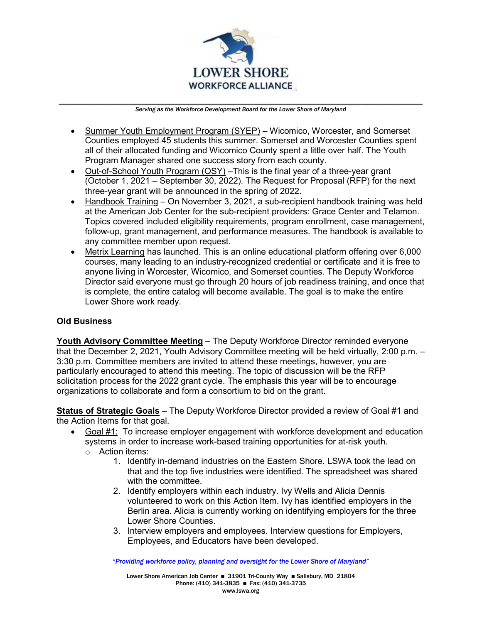

- Summer Youth Employment Program (SYEP) Wicomico, Worcester, and Somerset Counties employed 45 students this summer. Somerset and Worcester Counties spent all of their allocated funding and Wicomico County spent a little over half. The Youth Program Manager shared one success story from each county.
- Out-of-School Youth Program (OSY) –This is the final year of a three-year grant (October 1, 2021 – September 30, 2022). The Request for Proposal (RFP) for the next three-year grant will be announced in the spring of 2022.
- Handbook Training On November 3, 2021, a sub-recipient handbook training was held at the American Job Center for the sub-recipient providers: Grace Center and Telamon. Topics covered included eligibility requirements, program enrollment, case management, follow-up, grant management, and performance measures. The handbook is available to any committee member upon request.
- Metrix Learning has launched. This is an online educational platform offering over 6,000 courses, many leading to an industry-recognized credential or certificate and it is free to anyone living in Worcester, Wicomico, and Somerset counties. The Deputy Workforce Director said everyone must go through 20 hours of job readiness training, and once that is complete, the entire catalog will become available. The goal is to make the entire Lower Shore work ready.

## **Old Business**

**Youth Advisory Committee Meeting** – The Deputy Workforce Director reminded everyone that the December 2, 2021, Youth Advisory Committee meeting will be held virtually, 2:00 p.m. – 3:30 p.m. Committee members are invited to attend these meetings, however, you are particularly encouraged to attend this meeting. The topic of discussion will be the RFP solicitation process for the 2022 grant cycle. The emphasis this year will be to encourage organizations to collaborate and form a consortium to bid on the grant.

**Status of Strategic Goals** – The Deputy Workforce Director provided a review of Goal #1 and the Action Items for that goal.

- Goal #1: To increase employer engagement with workforce development and education systems in order to increase work-based training opportunities for at-risk youth. o Action items:
	- 1. Identify in-demand industries on the Eastern Shore. LSWA took the lead on that and the top five industries were identified. The spreadsheet was shared with the committee.
	- 2. Identify employers within each industry. Ivy Wells and Alicia Dennis volunteered to work on this Action Item. Ivy has identified employers in the Berlin area. Alicia is currently working on identifying employers for the three Lower Shore Counties.
	- 3. Interview employers and employees. Interview questions for Employers, Employees, and Educators have been developed.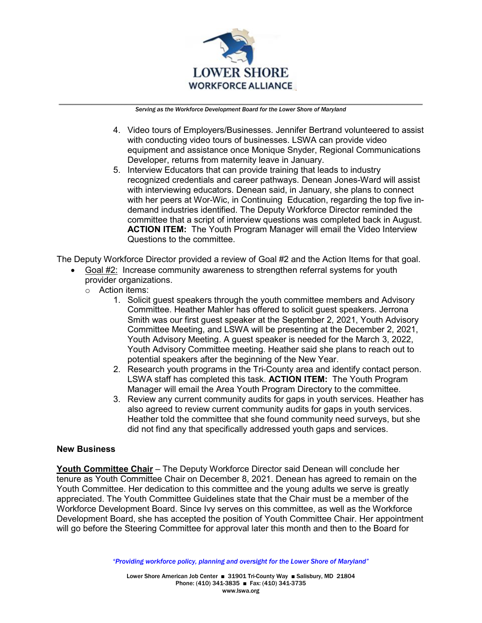

- 4. Video tours of Employers/Businesses. Jennifer Bertrand volunteered to assist with conducting video tours of businesses. LSWA can provide video equipment and assistance once Monique Snyder, Regional Communications Developer, returns from maternity leave in January.
- 5. Interview Educators that can provide training that leads to industry recognized credentials and career pathways. Denean Jones-Ward will assist with interviewing educators. Denean said, in January, she plans to connect with her peers at Wor-Wic, in Continuing Education, regarding the top five indemand industries identified. The Deputy Workforce Director reminded the committee that a script of interview questions was completed back in August. **ACTION ITEM:** The Youth Program Manager will email the Video Interview Questions to the committee.

The Deputy Workforce Director provided a review of Goal #2 and the Action Items for that goal.

- Goal #2: Increase community awareness to strengthen referral systems for youth provider organizations.
	- o Action items:
		- 1. Solicit guest speakers through the youth committee members and Advisory Committee. Heather Mahler has offered to solicit guest speakers. Jerrona Smith was our first guest speaker at the September 2, 2021, Youth Advisory Committee Meeting, and LSWA will be presenting at the December 2, 2021, Youth Advisory Meeting. A guest speaker is needed for the March 3, 2022, Youth Advisory Committee meeting. Heather said she plans to reach out to potential speakers after the beginning of the New Year.
		- 2. Research youth programs in the Tri-County area and identify contact person. LSWA staff has completed this task. **ACTION ITEM:** The Youth Program Manager will email the Area Youth Program Directory to the committee.
		- 3. Review any current community audits for gaps in youth services. Heather has also agreed to review current community audits for gaps in youth services. Heather told the committee that she found community need surveys, but she did not find any that specifically addressed youth gaps and services.

## **New Business**

**Youth Committee Chair** – The Deputy Workforce Director said Denean will conclude her tenure as Youth Committee Chair on December 8, 2021. Denean has agreed to remain on the Youth Committee. Her dedication to this committee and the young adults we serve is greatly appreciated. The Youth Committee Guidelines state that the Chair must be a member of the Workforce Development Board. Since Ivy serves on this committee, as well as the Workforce Development Board, she has accepted the position of Youth Committee Chair. Her appointment will go before the Steering Committee for approval later this month and then to the Board for